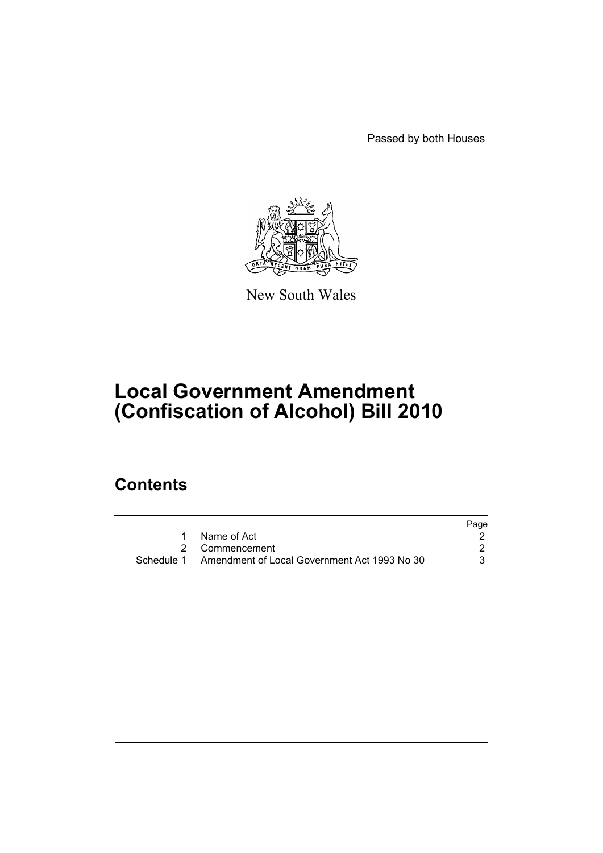Passed by both Houses



New South Wales

# **Local Government Amendment (Confiscation of Alcohol) Bill 2010**

## **Contents**

|                                                         | Page |
|---------------------------------------------------------|------|
| 1 Name of Act                                           |      |
| 2 Commencement                                          |      |
| Schedule 1 Amendment of Local Government Act 1993 No 30 |      |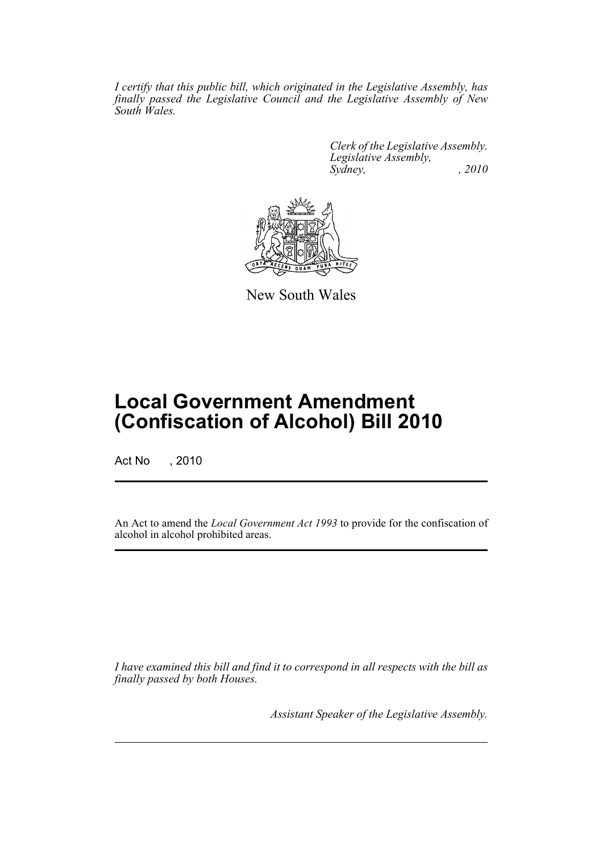*I certify that this public bill, which originated in the Legislative Assembly, has finally passed the Legislative Council and the Legislative Assembly of New South Wales.*

> *Clerk of the Legislative Assembly. Legislative Assembly, Sydney, , 2010*



New South Wales

## **Local Government Amendment (Confiscation of Alcohol) Bill 2010**

Act No , 2010

An Act to amend the *Local Government Act 1993* to provide for the confiscation of alcohol in alcohol prohibited areas.

*I have examined this bill and find it to correspond in all respects with the bill as finally passed by both Houses.*

*Assistant Speaker of the Legislative Assembly.*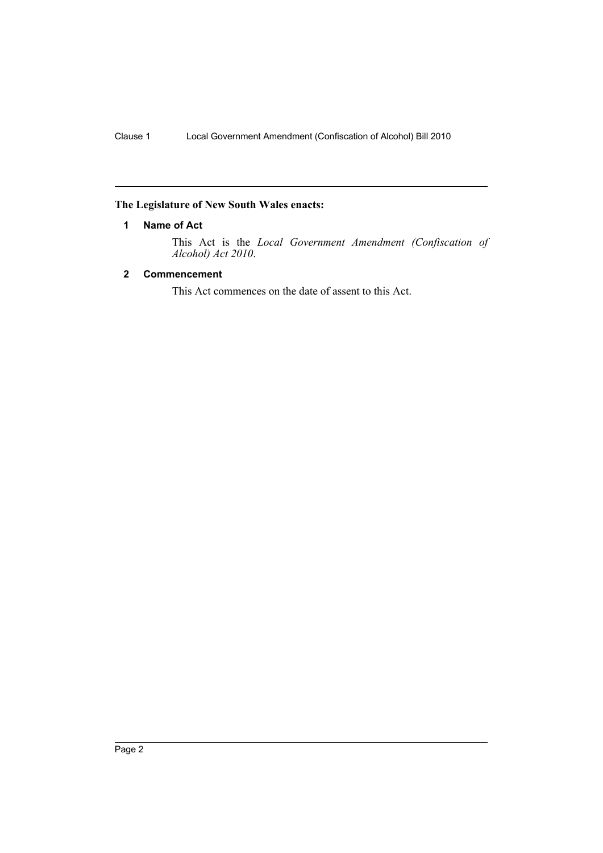### <span id="page-3-0"></span>**The Legislature of New South Wales enacts:**

#### **1 Name of Act**

This Act is the *Local Government Amendment (Confiscation of Alcohol) Act 2010*.

#### <span id="page-3-1"></span>**2 Commencement**

This Act commences on the date of assent to this Act.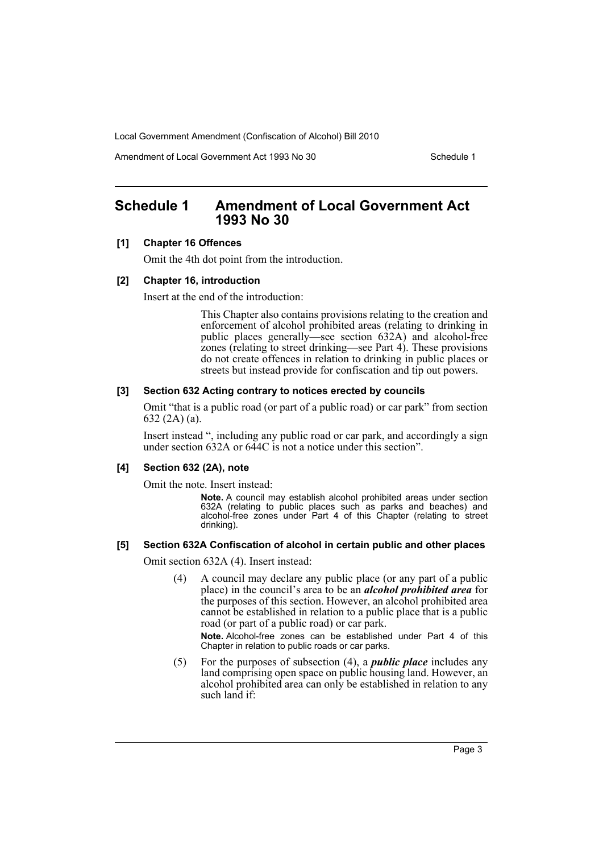Local Government Amendment (Confiscation of Alcohol) Bill 2010

Amendment of Local Government Act 1993 No 30 Schedule 1

### <span id="page-4-0"></span>**Schedule 1 Amendment of Local Government Act 1993 No 30**

#### **[1] Chapter 16 Offences**

Omit the 4th dot point from the introduction.

#### **[2] Chapter 16, introduction**

Insert at the end of the introduction:

This Chapter also contains provisions relating to the creation and enforcement of alcohol prohibited areas (relating to drinking in public places generally—see section 632A) and alcohol-free zones (relating to street drinking—see Part 4). These provisions do not create offences in relation to drinking in public places or streets but instead provide for confiscation and tip out powers.

#### **[3] Section 632 Acting contrary to notices erected by councils**

Omit "that is a public road (or part of a public road) or car park" from section 632 (2A) (a).

Insert instead ", including any public road or car park, and accordingly a sign under section 632A or 644C is not a notice under this section".

#### **[4] Section 632 (2A), note**

Omit the note. Insert instead:

**Note.** A council may establish alcohol prohibited areas under section 632A (relating to public places such as parks and beaches) and alcohol-free zones under Part 4 of this Chapter (relating to street drinking).

#### **[5] Section 632A Confiscation of alcohol in certain public and other places**

Omit section 632A (4). Insert instead:

(4) A council may declare any public place (or any part of a public place) in the council's area to be an *alcohol prohibited area* for the purposes of this section. However, an alcohol prohibited area cannot be established in relation to a public place that is a public road (or part of a public road) or car park.

**Note.** Alcohol-free zones can be established under Part 4 of this Chapter in relation to public roads or car parks.

(5) For the purposes of subsection (4), a *public place* includes any land comprising open space on public housing land. However, an alcohol prohibited area can only be established in relation to any such land if: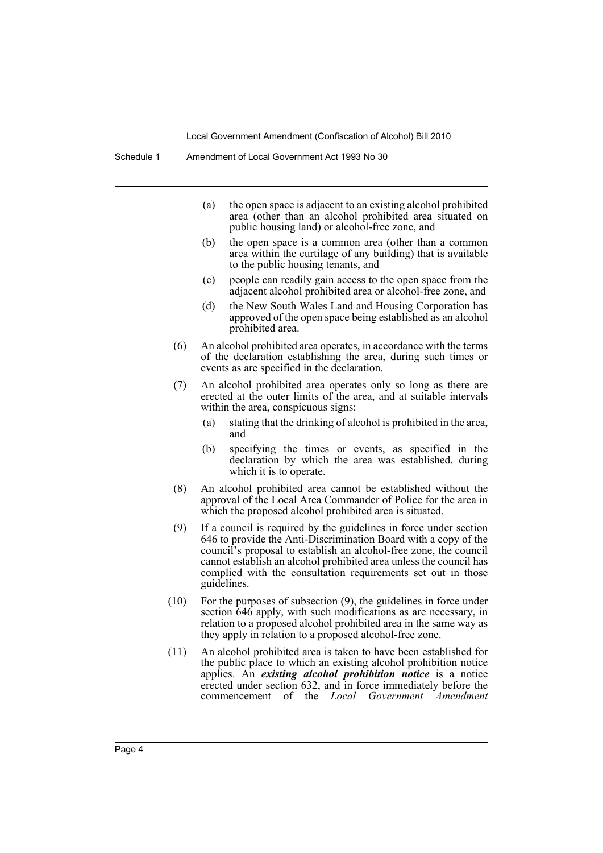Local Government Amendment (Confiscation of Alcohol) Bill 2010

- (a) the open space is adjacent to an existing alcohol prohibited area (other than an alcohol prohibited area situated on public housing land) or alcohol-free zone, and
- (b) the open space is a common area (other than a common area within the curtilage of any building) that is available to the public housing tenants, and
- (c) people can readily gain access to the open space from the adjacent alcohol prohibited area or alcohol-free zone, and
- (d) the New South Wales Land and Housing Corporation has approved of the open space being established as an alcohol prohibited area.
- (6) An alcohol prohibited area operates, in accordance with the terms of the declaration establishing the area, during such times or events as are specified in the declaration.
- (7) An alcohol prohibited area operates only so long as there are erected at the outer limits of the area, and at suitable intervals within the area, conspicuous signs:
	- (a) stating that the drinking of alcohol is prohibited in the area, and
	- (b) specifying the times or events, as specified in the declaration by which the area was established, during which it is to operate.
- (8) An alcohol prohibited area cannot be established without the approval of the Local Area Commander of Police for the area in which the proposed alcohol prohibited area is situated.
- (9) If a council is required by the guidelines in force under section 646 to provide the Anti-Discrimination Board with a copy of the council's proposal to establish an alcohol-free zone, the council cannot establish an alcohol prohibited area unless the council has complied with the consultation requirements set out in those guidelines.
- (10) For the purposes of subsection (9), the guidelines in force under section  $646$  apply, with such modifications as are necessary, in relation to a proposed alcohol prohibited area in the same way as they apply in relation to a proposed alcohol-free zone.
- (11) An alcohol prohibited area is taken to have been established for the public place to which an existing alcohol prohibition notice applies. An *existing alcohol prohibition notice* is a notice erected under section 632, and in force immediately before the commencement of the *Local Government Amendment*